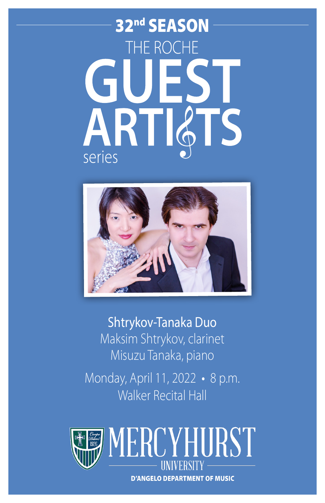# 32nd SEASON THE ROCHE **ART S** series



Shtrykov-Tanaka Duo Maksim Shtrykov, clarinet Misuzu Tanaka, piano Monday, April 11, 2022 • 8 p.m. Walker Recital Hall



**D'ANGELO DEPARTMENT OF MUSIC**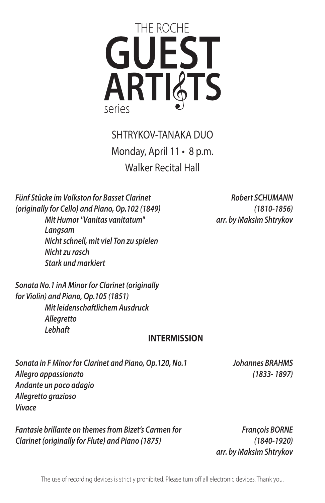

SHTRYKOV-TANAKA DUO Monday, April 11 • 8 p.m. Walker Recital Hall

*Fünf Stücke im Volkston for Basset Clarinet (originally for Cello) and Piano, Op.102 (1849) Mit Humor "Vanitas vanitatum" Langsam Nicht schnell, mit viel Ton zu spielen Nicht zu rasch Stark und markiert* 

*Sonata No.1 inA Minor for Clarinet (originally for Violin) and Piano, Op.105 (1851) Mit leidenschaftlichem Ausdruck Allegretto Lebhaft* 

#### **INTERMISSION**

*Sonata in F Minor for Clarinet and Piano, Op.120, No.1 Allegro appassionato Andante un poco adagio Allegretto grazioso Vivace* 

*Fantasie brillante on themes from Bizet's Carmen for Clarinet (originally for Flute) and Piano (1875)* 

*François BORNE (1840-1920) arr. by Maksim Shtrykov* 

*Robert SCHUMANN (1810-1856) arr. by Maksim Shtrykov* 

*Johannes BRAHMS (1833- 1897)*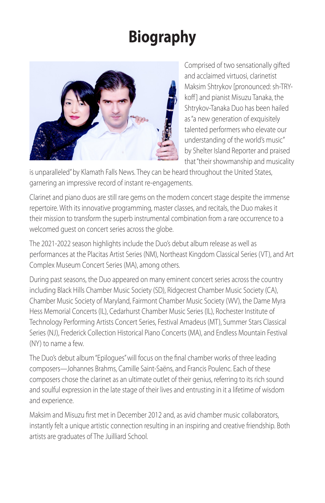## **Biography**



Comprised of two sensationally gifted and acclaimed virtuosi, clarinetist Maksim Shtrykov [pronounced: sh-TRYkoff] and pianist Misuzu Tanaka, the Shtrykov-Tanaka Duo has been hailed as "a new generation of exquisitely talented performers who elevate our understanding of the world's music" by Shelter Island Reporter and praised that "their showmanship and musicality

is unparalleled" by Klamath Falls News. They can be heard throughout the United States, garnering an impressive record of instant re-engagements.

Clarinet and piano duos are still rare gems on the modern concert stage despite the immense repertoire. With its innovative programming, master classes, and recitals, the Duo makes it their mission to transform the superb instrumental combination from a rare occurrence to a welcomed guest on concert series across the globe.

The 2021-2022 season highlights include the Duo's debut album release as well as performances at the Placitas Artist Series (NM), Northeast Kingdom Classical Series (VT), and Art Complex Museum Concert Series (MA), among others.

During past seasons, the Duo appeared on many eminent concert series across the country including Black Hills Chamber Music Society (SD), Ridgecrest Chamber Music Society (CA), Chamber Music Society of Maryland, Fairmont Chamber Music Society (WV), the Dame Myra Hess Memorial Concerts (IL), Cedarhurst Chamber Music Series (IL), Rochester Institute of Technology Performing Artists Concert Series, Festival Amadeus (MT), Summer Stars Classical Series (NJ), Frederick Collection Historical Piano Concerts (MA), and Endless Mountain Festival (NY) to name a few.

The Duo's debut album "Epilogues" will focus on the fnal chamber works of three leading composers—Johannes Brahms, Camille Saint-Saëns, and Francis Poulenc. Each of these composers chose the clarinet as an ultimate outlet of their genius, referring to its rich sound and soulful expression in the late stage of their lives and entrusting in it a lifetime of wisdom and experience.

Maksim and Misuzu frst met in December 2012 and, as avid chamber music collaborators, instantly felt a unique artistic connection resulting in an inspiring and creative friendship. Both artists are graduates of The Juilliard School.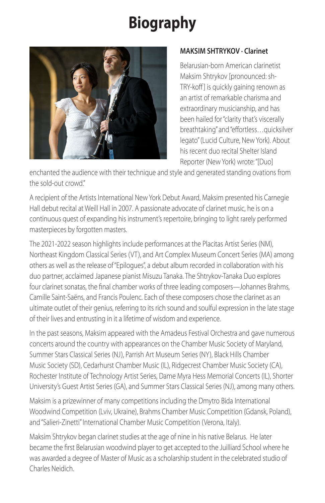## **Biography**



#### **MAKSIM SHTRYKOV · Clarinet**

Belarusian-born American clarinetist Maksim Shtrykov [pronounced: sh-TRY-koff] is quickly gaining renown as an artist of remarkable charisma and extraordinary musicianship, and has been hailed for "clarity that's viscerally breathtaking" and "effortless... quicksilver legato" (Lucid Culture, New York). About his recent duo recital Shelter Island Reporter (New York) wrote: "[Duo]

enchanted the audience with their technique and style and generated standing ovations from the sold-out crowd."

A recipient of the Artists International New York Debut Award, Maksim presented his Carnegie Hall debut recital at Weill Hall in 2007. A passionate advocate of clarinet music, he is on a continuous quest of expanding his instrument's repertoire, bringing to light rarely performed masterpieces by forgotten masters.

The 2021-2022 season highlights include performances at the Placitas Artist Series (NM), Northeast Kingdom Classical Series (VT), and Art Complex Museum Concert Series (MA) among others as well as the release of "Epilogues", a debut album recorded in collaboration with his duo partner, acclaimed Japanese pianist Misuzu Tanaka. The Shtrykov-Tanaka Duo explores four clarinet sonatas, the fnal chamber works of three leading composers—Johannes Brahms, Camille Saint-Saëns, and Francis Poulenc. Each of these composers chose the clarinet as an ultimate outlet of their genius, referring to its rich sound and soulful expression in the late stage of their lives and entrusting in it a lifetime of wisdom and experience.

In the past seasons, Maksim appeared with the Amadeus Festival Orchestra and gave numerous concerts around the country with appearances on the Chamber Music Society of Maryland, Summer Stars Classical Series (NJ), Parrish Art Museum Series (NY), Black Hills Chamber Music Society (SD), Cedarhurst Chamber Music (IL), Ridgecrest Chamber Music Society (CA), Rochester Institute of Technology Artist Series, Dame Myra Hess Memorial Concerts (IL), Shorter University's Guest Artist Series (GA), and Summer Stars Classical Series (NJ), among many others.

Maksim is a prizewinner of many competitions including the Dmytro Bida International Woodwind Competition (Lviv, Ukraine), Brahms Chamber Music Competition (Gdansk, Poland), and "Salieri-Zinetti" International Chamber Music Competition (Verona, Italy).

Maksim Shtrykov began clarinet studies at the age of nine in his native Belarus. He later became the frst Belarusian woodwind player to get accepted to the Juilliard School where he was awarded a degree of Master of Music as a scholarship student in the celebrated studio of Charles Neidich.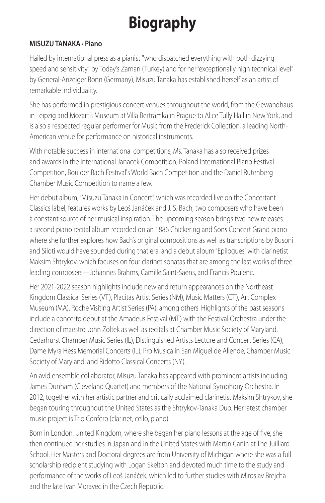## **Biography**

#### **MISUZU TANAKA · Piano**

Hailed by international press as a pianist "who dispatched everything with both dizzying speed and sensitivity" by Today's Zaman (Turkey) and for her "exceptionally high technical level" by General-Anzeiger Bonn (Germany), Misuzu Tanaka has established herself as an artist of remarkable individuality.

She has performed in prestigious concert venues throughout the world, from the Gewandhaus in Leipzig and Mozart's Museum at Villa Bertramka in Prague to Alice Tully Hall in New York, and is also a respected regular performer for Music from the Frederick Collection, a leading North-American venue for performance on historical instruments.

With notable success in international competitions, Ms. Tanaka has also received prizes and awards in the International Janacek Competition, Poland International Piano Festival Competition, Boulder Bach Festival's World Bach Competition and the Daniel Rutenberg Chamber Music Competition to name a few.

Her debut album, "Misuzu Tanaka in Concert", which was recorded live on the Concertant Classics label, features works by Leoš Janáček and J. S. Bach, two composers who have been a constant source of her musical inspiration. The upcoming season brings two new releases: a second piano recital album recorded on an 1886 Chickering and Sons Concert Grand piano where she further explores how Bach's original compositions as well as transcriptions by Busoni and Siloti would have sounded during that era, and a debut album "Epilogues" with clarinetist Maksim Shtrykov, which focuses on four clarinet sonatas that are among the last works of three leading composers—Johannes Brahms, Camille Saint-Saens, and Francis Poulenc.

Her 2021-2022 season highlights include new and return appearances on the Northeast Kingdom Classical Series (VT), Placitas Artist Series (NM), Music Matters (CT), Art Complex Museum (MA), Roche Visiting Artist Series (PA), among others. Highlights of the past seasons include a concerto debut at the Amadeus Festival (MT) with the Festival Orchestra under the direction of maestro John Zoltek as well as recitals at Chamber Music Society of Maryland, Cedarhurst Chamber Music Series (IL), Distinguished Artists Lecture and Concert Series (CA), Dame Myra Hess Memorial Concerts (IL), Pro Musica in San Miguel de Allende, Chamber Music Society of Maryland, and Ridotto Classical Concerts (NY).

An avid ensemble collaborator, Misuzu Tanaka has appeared with prominent artists including James Dunham (Cleveland Quartet) and members of the National Symphony Orchestra. In 2012, together with her artistic partner and critically acclaimed clarinetist Maksim Shtrykov, she began touring throughout the United States as the Shtrykov-Tanaka Duo. Her latest chamber music project is Trio Confero (clarinet, cello, piano).

Born in London, United Kingdom, where she began her piano lessons at the age of fve, she then continued her studies in Japan and in the United States with Martin Canin at The Juilliard School. Her Masters and Doctoral degrees are from University of Michigan where she was a full scholarship recipient studying with Logan Skelton and devoted much time to the study and performance of the works of Leoš Janáček, which led to further studies with Miroslav Brejcha and the late Ivan Moravec in the Czech Republic.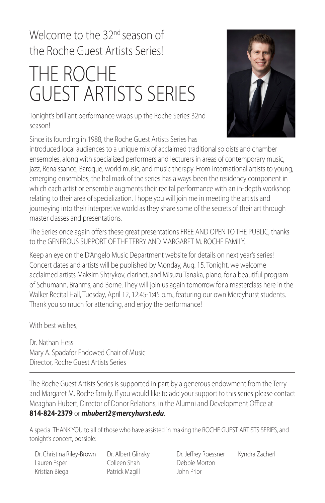### Welcome to the 32<sup>nd</sup> season of the Roche Guest Artists Series!

# THE ROCHE GUEST ARTISTS SERIES

Tonight's brilliant performance wraps up the Roche Series' 32nd season!

Since its founding in 1988, the Roche Guest Artists Series has



introduced local audiences to a unique mix of acclaimed traditional soloists and chamber ensembles, along with specialized performers and lecturers in areas of contemporary music, jazz, Renaissance, Baroque, world music, and music therapy. From international artists to young, emerging ensembles, the hallmark of the series has always been the residency component in which each artist or ensemble augments their recital performance with an in-depth workshop relating to their area of specialization. I hope you will join me in meeting the artists and journeying into their interpretive world as they share some of the secrets of their art through master classes and presentations.

The Series once again offers these great presentations FREE AND OPEN TO THE PUBLIC, thanks to the GENEROUS SUPPORT OF THE TERRY AND MARGARET M. ROCHE FAMILY.

Keep an eye on the D'Angelo Music Department website for details on next year's series! Concert dates and artists will be published by Monday, Aug. 15. Tonight, we welcome acclaimed artists Maksim Shtrykov, clarinet, and Misuzu Tanaka, piano, for a beautiful program of Schumann, Brahms, and Borne. They will join us again tomorrow for a masterclass here in the Walker Recital Hall, Tuesday, April 12, 12:45-1:45 p.m., featuring our own Mercyhurst students. Thank you so much for attending, and enjoy the performance!

With hest wishes

Dr. Nathan Hess Mary A. Spadafor Endowed Chair of Music Director, Roche Guest Artists Series

The Roche Guest Artists Series is supported in part by a generous endowment from the Terry and Margaret M. Roche family. If you would like to add your support to this series please contact Meaghan Hubert, Director of Donor Relations, in the Alumni and Development Office at

#### **814-824-2379** or *[mhubert2@mercyhurst.edu](mailto:mhubert2@mercyhurst.edu)*.

A special THANK YOU to all of those who have assisted in making the ROCHE GUEST ARTISTS SERIES, and tonight's concert, possible:

Dr. Christina Riley-Brown Dr. Albert Glinsky Dr. Jefrey Roessner Kyndra Zacherl Lauren Esper Colleen Shah Debbie Morton Kristian Biega Patrick Magill John Prior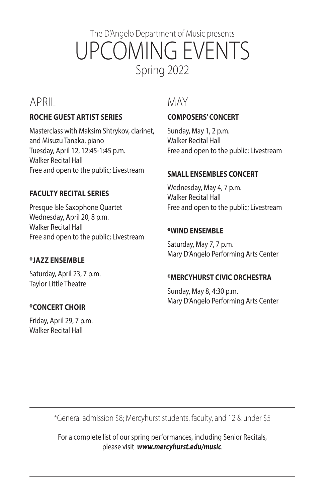### The D'Angelo Department of Music presents UPCOMING EVENTS Spring 2022

### APRIL

#### **ROCHE GUEST ARTIST SERIES**

Masterclass with Maksim Shtrykov, clarinet, and Misuzu Tanaka, piano Tuesday, April 12, 12:45-1:45 p.m. Walker Recital Hall Free and open to the public; Livestream

#### **FACULTY RECITAL SERIES**

Presque Isle Saxophone Quartet Wednesday, April 20, 8 p.m. Walker Recital Hall Free and open to the public; Livestream

#### **\*JAZZ ENSEMBLE**

Saturday, April 23, 7 p.m. Taylor Little Theatre

#### **\*CONCERT CHOIR**

Friday, April 29, 7 p.m. Walker Recital Hall

#### MAY

#### **COMPOSERS' CONCERT**

Sunday, May 1, 2 p.m. Walker Recital Hall Free and open to the public; Livestream

#### **SMALL ENSEMBLES CONCERT**

Wednesday, May 4, 7 p.m. Walker Recital Hall Free and open to the public; Livestream

#### **\*WIND ENSEMBLE**

Saturday, May 7, 7 p.m. Mary D'Angelo Performing Arts Center

#### **\*MERCYHURST CIVIC ORCHESTRA**

Sunday, May 8, 4:30 p.m. Mary D'Angelo Performing Arts Center

\*General admission \$8; Mercyhurst students, faculty, and 12 & under \$5

For a complete list of our spring performances, including Senior Recitals, please visit *<www.mercyhurst.edu/music>*.